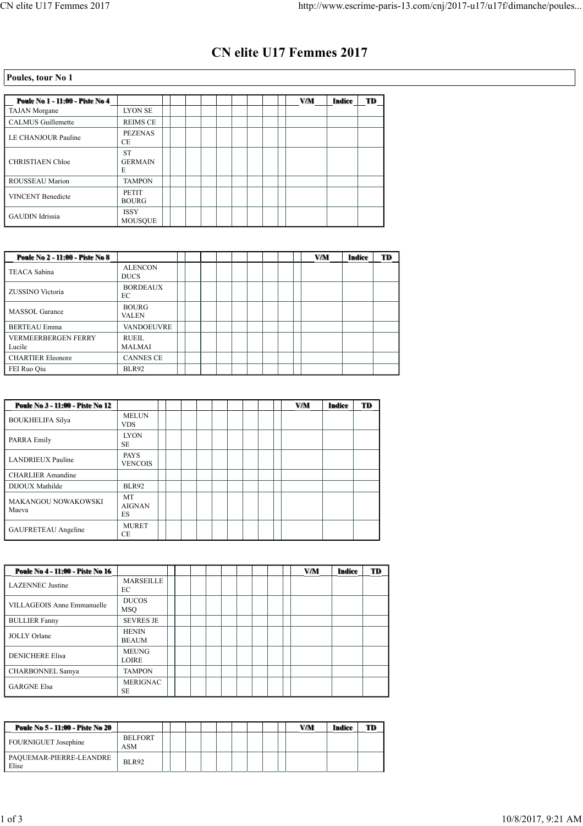## **CN elite U17 Femmes 2017**

## **Poules, tour No 1**

| Poule No 1 - 11:00 - Piste No 4 |                                  |  |  |  |  | VM | Indice | TD |
|---------------------------------|----------------------------------|--|--|--|--|----|--------|----|
| <b>TAJAN</b> Morgane            | <b>LYON SE</b>                   |  |  |  |  |    |        |    |
| <b>CALMUS</b> Guillemette       | <b>REIMS CE</b>                  |  |  |  |  |    |        |    |
| LE CHANJOUR Pauline             | <b>PEZENAS</b><br>СE             |  |  |  |  |    |        |    |
| <b>CHRISTIAEN Chloe</b>         | <b>ST</b><br><b>GERMAIN</b><br>E |  |  |  |  |    |        |    |
| ROUSSEAU Marion                 | <b>TAMPON</b>                    |  |  |  |  |    |        |    |
| <b>VINCENT Benedicte</b>        | <b>PETIT</b><br><b>BOURG</b>     |  |  |  |  |    |        |    |
| <b>GAUDIN</b> Idrissia          | <b>ISSY</b><br><b>MOUSQUE</b>    |  |  |  |  |    |        |    |

| Poule No 2 - 11:00 - Piste No 8      |                               |  |  |  |  | <b>V/M</b> | Indice | TD |
|--------------------------------------|-------------------------------|--|--|--|--|------------|--------|----|
| <b>TEACA Sabina</b>                  | <b>ALENCON</b><br><b>DUCS</b> |  |  |  |  |            |        |    |
| ZUSSINO Victoria                     | <b>BORDEAUX</b><br>EC         |  |  |  |  |            |        |    |
| <b>MASSOL</b> Garance                | <b>BOURG</b><br><b>VALEN</b>  |  |  |  |  |            |        |    |
| <b>BERTEAU</b> Emma                  | <b>VANDOEUVRE</b>             |  |  |  |  |            |        |    |
| <b>VERMEERBERGEN FERRY</b><br>Lucile | RUEIL<br><b>MALMAI</b>        |  |  |  |  |            |        |    |
| <b>CHARTIER Eleonore</b>             | <b>CANNES CE</b>              |  |  |  |  |            |        |    |
| FEI Ruo Qiu                          | <b>BLR92</b>                  |  |  |  |  |            |        |    |

| Poule No 3 - 11:00 - Piste No 12 |                                  |  |  |  |  | VM | Indice | TD |
|----------------------------------|----------------------------------|--|--|--|--|----|--------|----|
| <b>BOUKHELIFA Silva</b>          | <b>MELUN</b><br><b>VDS</b>       |  |  |  |  |    |        |    |
| PARRA Emily                      | <b>LYON</b><br><b>SE</b>         |  |  |  |  |    |        |    |
| <b>LANDRIEUX Pauline</b>         | <b>PAYS</b><br><b>VENCOIS</b>    |  |  |  |  |    |        |    |
| <b>CHARLIER Amandine</b>         |                                  |  |  |  |  |    |        |    |
| DIJOUX Mathilde                  | <b>BLR92</b>                     |  |  |  |  |    |        |    |
| MAKANGOU NOWAKOWSKI<br>Maeva     | <b>MT</b><br><b>AIGNAN</b><br>ES |  |  |  |  |    |        |    |
| <b>GAUFRETEAU</b> Angeline       | <b>MURET</b><br><b>CE</b>        |  |  |  |  |    |        |    |

| Poule No 4 - 11:00 - Piste No 16 |                              |  |  |  |  | VM | Indice | TD |
|----------------------------------|------------------------------|--|--|--|--|----|--------|----|
| <b>LAZENNEC</b> Justine          | <b>MARSEILLE</b><br>EC       |  |  |  |  |    |        |    |
| VILLAGEOIS Anne Emmanuelle       | <b>DUCOS</b><br><b>MSO</b>   |  |  |  |  |    |        |    |
| <b>BULLIER Fanny</b>             | <b>SEVRES JE</b>             |  |  |  |  |    |        |    |
| <b>JOLLY Orlane</b>              | <b>HENIN</b><br><b>BEAUM</b> |  |  |  |  |    |        |    |
| <b>DENICHERE Elisa</b>           | <b>MEUNG</b><br><b>LOIRE</b> |  |  |  |  |    |        |    |
| <b>CHARBONNEL Samya</b>          | <b>TAMPON</b>                |  |  |  |  |    |        |    |
| <b>GARGNE Elsa</b>               | <b>MERIGNAC</b><br><b>SE</b> |  |  |  |  |    |        |    |

| Poule No 5 - 11:00 - Piste No 20 |                              |  |  |  |  | VM | Indice | TD |
|----------------------------------|------------------------------|--|--|--|--|----|--------|----|
| FOURNIGUET Josephine             | <b>BELFORT</b><br><b>ASM</b> |  |  |  |  |    |        |    |
| PAQUEMAR-PIERRE-LEANDRE<br>Elise | BLR92                        |  |  |  |  |    |        |    |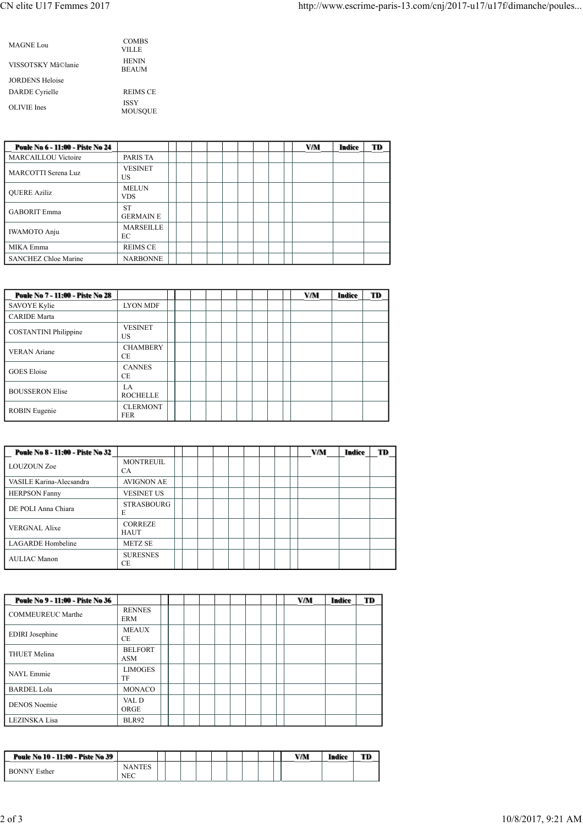| MAGNE Lou              | <b>COMBS</b><br>VILLE         |
|------------------------|-------------------------------|
| VISSOTSKY Mã©lanie     | <b>HENIN</b><br><b>BEAUM</b>  |
| <b>JORDENS Heloise</b> |                               |
| <b>DARDE</b> Cyrielle  | <b>REIMS CE</b>               |
| OLIVIE Ines            | <b>ISSY</b><br><b>MOUSOUE</b> |

| Poule No 6 - 11:00 - Piste No 24 |                               |  |  |  |  | <b>V/M</b> | Indice | TD |
|----------------------------------|-------------------------------|--|--|--|--|------------|--------|----|
| <b>MARCAILLOU Victoire</b>       | PARIS TA                      |  |  |  |  |            |        |    |
| MARCOTTI Serena Luz              | <b>VESINET</b><br>US          |  |  |  |  |            |        |    |
| <b>OUERE Aziliz</b>              | <b>MELUN</b><br><b>VDS</b>    |  |  |  |  |            |        |    |
| <b>GABORIT Emma</b>              | <b>ST</b><br><b>GERMAIN E</b> |  |  |  |  |            |        |    |
| <b>IWAMOTO Anju</b>              | <b>MARSEILLE</b><br>ЕC        |  |  |  |  |            |        |    |
| MIKA Emma                        | <b>REIMS CE</b>               |  |  |  |  |            |        |    |
| <b>SANCHEZ Chloe Marine</b>      | <b>NARBONNE</b>               |  |  |  |  |            |        |    |

| Poule No 7 - 11:00 - Piste No 28 |                               |  |  |  |  | VM | Indice | TD |
|----------------------------------|-------------------------------|--|--|--|--|----|--------|----|
| SAVOYE Kylie                     | <b>LYON MDF</b>               |  |  |  |  |    |        |    |
| <b>CARIDE</b> Marta              |                               |  |  |  |  |    |        |    |
| <b>COSTANTINI</b> Philippine     | <b>VESINET</b><br>US          |  |  |  |  |    |        |    |
| <b>VERAN</b> Ariane              | <b>CHAMBERY</b><br>CE.        |  |  |  |  |    |        |    |
| <b>GOES</b> Eloise               | <b>CANNES</b><br>СE           |  |  |  |  |    |        |    |
| <b>BOUSSERON Elise</b>           | LA.<br><b>ROCHELLE</b>        |  |  |  |  |    |        |    |
| <b>ROBIN</b> Eugenie             | <b>CLERMONT</b><br><b>FER</b> |  |  |  |  |    |        |    |

| Poule No 8 - 11:00 - Piste No 32 |                               |  |  |  |  | <b>V/M</b> | Indice | TD |
|----------------------------------|-------------------------------|--|--|--|--|------------|--------|----|
| <b>LOUZOUN Zoe</b>               | <b>MONTREUIL</b><br><b>CA</b> |  |  |  |  |            |        |    |
| VASILE Karina-Alecsandra         | <b>AVIGNON AE</b>             |  |  |  |  |            |        |    |
| <b>HERPSON Fanny</b>             | <b>VESINET US</b>             |  |  |  |  |            |        |    |
| DE POLI Anna Chiara              | <b>STRASBOURG</b><br>E        |  |  |  |  |            |        |    |
| <b>VERGNAL Alixe</b>             | <b>CORREZE</b><br><b>HAUT</b> |  |  |  |  |            |        |    |
| <b>LAGARDE</b> Hombeline         | <b>METZ SE</b>                |  |  |  |  |            |        |    |
| <b>AULIAC Manon</b>              | <b>SURESNES</b><br><b>CE</b>  |  |  |  |  |            |        |    |

| Poule No 9 - 11:00 - Piste No 36 |                              |  |  |  |  | <b>V/M</b> | <b>Indice</b> | TD |
|----------------------------------|------------------------------|--|--|--|--|------------|---------------|----|
| <b>COMMEUREUC Marthe</b>         | <b>RENNES</b><br><b>ERM</b>  |  |  |  |  |            |               |    |
| <b>EDIRI</b> Josephine           | <b>MEAUX</b><br>СE           |  |  |  |  |            |               |    |
| <b>THUET Melina</b>              | <b>BELFORT</b><br><b>ASM</b> |  |  |  |  |            |               |    |
| NAYL Emmie                       | <b>LIMOGES</b><br>TF         |  |  |  |  |            |               |    |
| <b>BARDEL Lola</b>               | <b>MONACO</b>                |  |  |  |  |            |               |    |
| <b>DENOS</b> Noemie              | VAL D<br>ORGE                |  |  |  |  |            |               |    |
| LEZINSKA Lisa                    | <b>BLR92</b>                 |  |  |  |  |            |               |    |

| Poule No 10 - 11:00 - Piste No 39 |                      |  |  |  |  | V/M | Indice | TD |
|-----------------------------------|----------------------|--|--|--|--|-----|--------|----|
| <b>BONNY Esther</b>               | <b>NANTES</b><br>NEC |  |  |  |  |     |        |    |